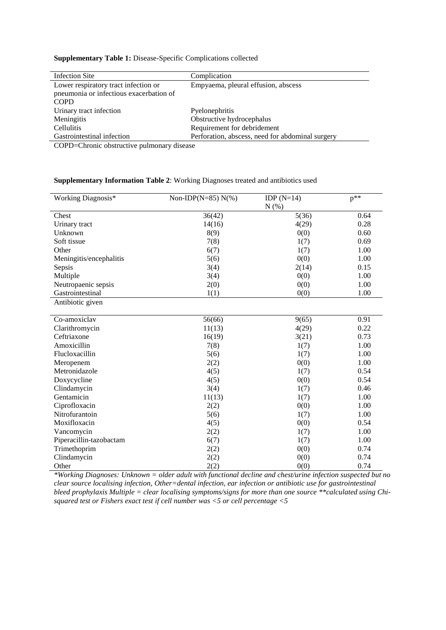## **Supplementary Table 1:** Disease-Specific Complications collected

| Infection Site                                                   | Complication                                     |
|------------------------------------------------------------------|--------------------------------------------------|
| Lower respiratory tract infection or                             | Empyaema, pleural effusion, abscess              |
| pneumonia or infectious exacerbation of                          |                                                  |
| <b>COPD</b>                                                      |                                                  |
| Urinary tract infection                                          | Pyelonephritis                                   |
| Meningitis                                                       | Obstructive hydrocephalus                        |
| <b>Cellulitis</b>                                                | Requirement for debridement                      |
| Gastrointestinal infection                                       | Perforation, abscess, need for abdominal surgery |
| $\sim$ $\sim$ $\sim$ $\sim$ $\sim$ $\sim$<br>$\sim$<br>$\bullet$ |                                                  |

COPD=Chronic obstructive pulmonary disease

## **Supplementary Information Table 2**: Working Diagnoses treated and antibiotics used

| Working Diagnosis*      | Non-IDP(N=85) $N(\%)$ | IDP $(N=14)$ | $p^{**}$ |
|-------------------------|-----------------------|--------------|----------|
|                         |                       | N(% )        |          |
| Chest                   | 36(42)                | 5(36)        | 0.64     |
| Urinary tract           | 14(16)                | 4(29)        | 0.28     |
| Unknown                 | 8(9)                  | 0(0)         | 0.60     |
| Soft tissue             | 7(8)                  | 1(7)         | 0.69     |
| Other                   | 6(7)                  | 1(7)         | 1.00     |
| Meningitis/encephalitis | 5(6)                  | 0(0)         | 1.00     |
| Sepsis                  | 3(4)                  | 2(14)        | 0.15     |
| Multiple                | 3(4)                  | 0(0)         | 1.00     |
| Neutropaenic sepsis     | 2(0)                  | 0(0)         | 1.00     |
| Gastrointestinal        | 1(1)                  | 0(0)         | 1.00     |
| Antibiotic given        |                       |              |          |
|                         |                       |              |          |
| Co-amoxiclav            | 56(66)                | 9(65)        | 0.91     |
| Clarithromycin          | 11(13)                | 4(29)        | 0.22     |
| Ceftriaxone             | 16(19)                | 3(21)        | 0.73     |
| Amoxicillin             | 7(8)                  | 1(7)         | 1.00     |
| Flucloxacillin          | 5(6)                  | 1(7)         | 1.00     |
| Meropenem               | 2(2)                  | 0(0)         | 1.00     |
| Metronidazole           | 4(5)                  | 1(7)         | 0.54     |
| Doxycycline             | 4(5)                  | 0(0)         | 0.54     |
| Clindamycin             | 3(4)                  | 1(7)         | 0.46     |
| Gentamicin              | 11(13)                | 1(7)         | 1.00     |
| Ciprofloxacin           | 2(2)                  | 0(0)         | 1.00     |
| Nitrofurantoin          | 5(6)                  | 1(7)         | 1.00     |
| Moxifloxacin            | 4(5)                  | 0(0)         | 0.54     |
| Vancomycin              | 2(2)                  | 1(7)         | 1.00     |
| Piperacillin-tazobactam | 6(7)                  | 1(7)         | 1.00     |
| Trimethoprim            | 2(2)                  | 0(0)         | 0.74     |
| Clindamycin             | 2(2)                  | 0(0)         | 0.74     |
| Other                   | 2(2)                  | 0(0)         | 0.74     |

*\*Working Diagnoses: Unknown = older adult with functional decline and chest/urine infection suspected but no clear source localising infection, Other=dental infection, ear infection or antibiotic use for gastrointestinal bleed prophylaxis Multiple = clear localising symptoms/signs for more than one source \*\*calculated using Chisquared test or Fishers exact test if cell number was <5 or cell percentage <5*